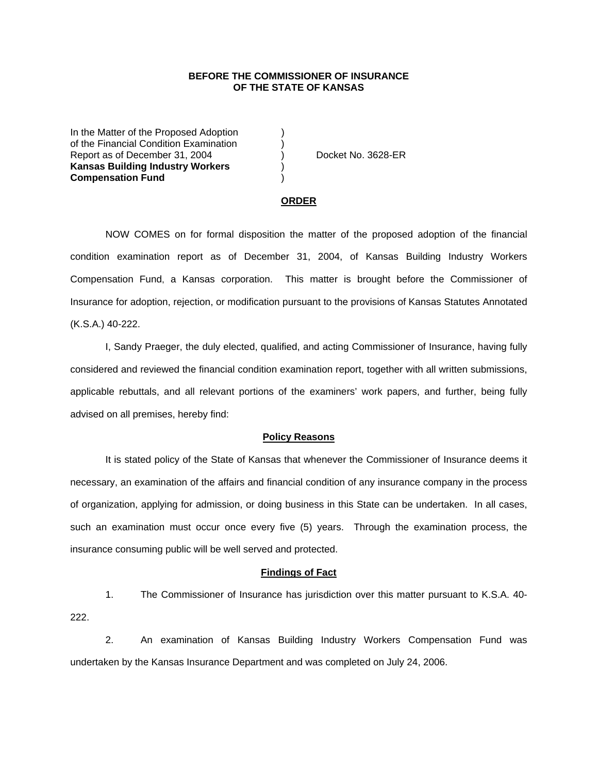### **BEFORE THE COMMISSIONER OF INSURANCE OF THE STATE OF KANSAS**

In the Matter of the Proposed Adoption of the Financial Condition Examination ) Report as of December 31, 2004 (a) Docket No. 3628-ER **Kansas Building Industry Workers** ) **Compensation Fund** )

#### **ORDER**

 NOW COMES on for formal disposition the matter of the proposed adoption of the financial condition examination report as of December 31, 2004, of Kansas Building Industry Workers Compensation Fund, a Kansas corporation. This matter is brought before the Commissioner of Insurance for adoption, rejection, or modification pursuant to the provisions of Kansas Statutes Annotated (K.S.A.) 40-222.

 I, Sandy Praeger, the duly elected, qualified, and acting Commissioner of Insurance, having fully considered and reviewed the financial condition examination report, together with all written submissions, applicable rebuttals, and all relevant portions of the examiners' work papers, and further, being fully advised on all premises, hereby find:

#### **Policy Reasons**

 It is stated policy of the State of Kansas that whenever the Commissioner of Insurance deems it necessary, an examination of the affairs and financial condition of any insurance company in the process of organization, applying for admission, or doing business in this State can be undertaken. In all cases, such an examination must occur once every five (5) years. Through the examination process, the insurance consuming public will be well served and protected.

#### **Findings of Fact**

 1. The Commissioner of Insurance has jurisdiction over this matter pursuant to K.S.A. 40- 222.

 2. An examination of Kansas Building Industry Workers Compensation Fund was undertaken by the Kansas Insurance Department and was completed on July 24, 2006.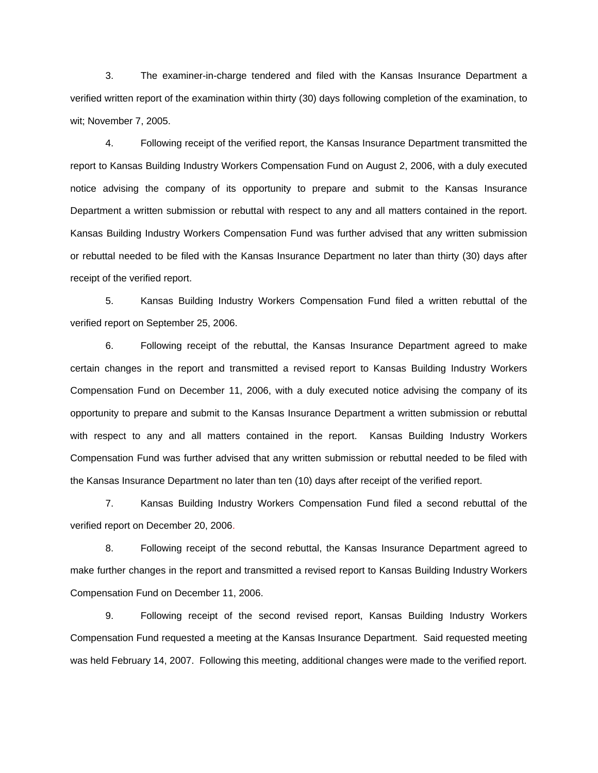3. The examiner-in-charge tendered and filed with the Kansas Insurance Department a verified written report of the examination within thirty (30) days following completion of the examination, to wit; November 7, 2005.

 4. Following receipt of the verified report, the Kansas Insurance Department transmitted the report to Kansas Building Industry Workers Compensation Fund on August 2, 2006, with a duly executed notice advising the company of its opportunity to prepare and submit to the Kansas Insurance Department a written submission or rebuttal with respect to any and all matters contained in the report. Kansas Building Industry Workers Compensation Fund was further advised that any written submission or rebuttal needed to be filed with the Kansas Insurance Department no later than thirty (30) days after receipt of the verified report.

 5. Kansas Building Industry Workers Compensation Fund filed a written rebuttal of the verified report on September 25, 2006.

 6. Following receipt of the rebuttal, the Kansas Insurance Department agreed to make certain changes in the report and transmitted a revised report to Kansas Building Industry Workers Compensation Fund on December 11, 2006, with a duly executed notice advising the company of its opportunity to prepare and submit to the Kansas Insurance Department a written submission or rebuttal with respect to any and all matters contained in the report. Kansas Building Industry Workers Compensation Fund was further advised that any written submission or rebuttal needed to be filed with the Kansas Insurance Department no later than ten (10) days after receipt of the verified report.

 7. Kansas Building Industry Workers Compensation Fund filed a second rebuttal of the verified report on December 20, 2006.

8. Following receipt of the second rebuttal, the Kansas Insurance Department agreed to make further changes in the report and transmitted a revised report to Kansas Building Industry Workers Compensation Fund on December 11, 2006.

9. Following receipt of the second revised report, Kansas Building Industry Workers Compensation Fund requested a meeting at the Kansas Insurance Department. Said requested meeting was held February 14, 2007. Following this meeting, additional changes were made to the verified report.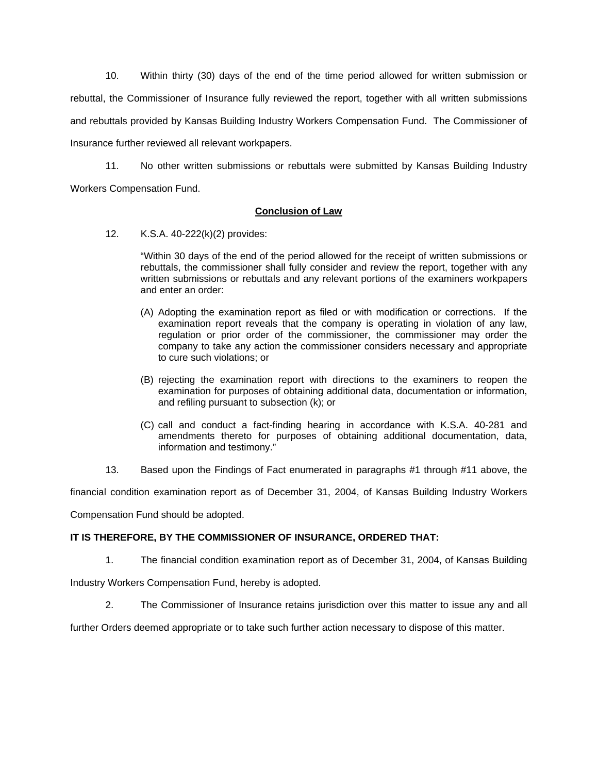10. Within thirty (30) days of the end of the time period allowed for written submission or rebuttal, the Commissioner of Insurance fully reviewed the report, together with all written submissions and rebuttals provided by Kansas Building Industry Workers Compensation Fund. The Commissioner of Insurance further reviewed all relevant workpapers.

 11. No other written submissions or rebuttals were submitted by Kansas Building Industry Workers Compensation Fund.

## **Conclusion of Law**

12. K.S.A. 40-222(k)(2) provides:

"Within 30 days of the end of the period allowed for the receipt of written submissions or rebuttals, the commissioner shall fully consider and review the report, together with any written submissions or rebuttals and any relevant portions of the examiners workpapers and enter an order:

- (A) Adopting the examination report as filed or with modification or corrections. If the examination report reveals that the company is operating in violation of any law, regulation or prior order of the commissioner, the commissioner may order the company to take any action the commissioner considers necessary and appropriate to cure such violations; or
- (B) rejecting the examination report with directions to the examiners to reopen the examination for purposes of obtaining additional data, documentation or information, and refiling pursuant to subsection (k); or
- (C) call and conduct a fact-finding hearing in accordance with K.S.A. 40-281 and amendments thereto for purposes of obtaining additional documentation, data, information and testimony."
- 13. Based upon the Findings of Fact enumerated in paragraphs #1 through #11 above, the

financial condition examination report as of December 31, 2004, of Kansas Building Industry Workers

Compensation Fund should be adopted.

# **IT IS THEREFORE, BY THE COMMISSIONER OF INSURANCE, ORDERED THAT:**

1. The financial condition examination report as of December 31, 2004, of Kansas Building

Industry Workers Compensation Fund, hereby is adopted.

2. The Commissioner of Insurance retains jurisdiction over this matter to issue any and all

further Orders deemed appropriate or to take such further action necessary to dispose of this matter.